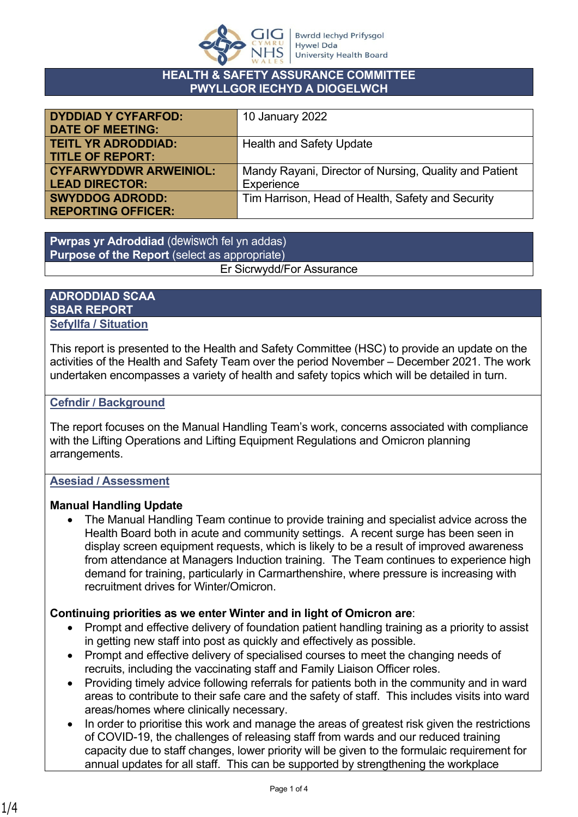

### **HEALTH & SAFETY ASSURANCE COMMITTEE PWYLLGOR IECHYD A DIOGELWCH**

| <b>DYDDIAD Y CYFARFOD:</b>    | 10 January 2022                                        |
|-------------------------------|--------------------------------------------------------|
| <b>DATE OF MEETING:</b>       |                                                        |
| <b>TEITL YR ADRODDIAD:</b>    | <b>Health and Safety Update</b>                        |
| <b>TITLE OF REPORT:</b>       |                                                        |
| <b>CYFARWYDDWR ARWEINIOL:</b> | Mandy Rayani, Director of Nursing, Quality and Patient |
| <b>LEAD DIRECTOR:</b>         | Experience                                             |
| <b>SWYDDOG ADRODD:</b>        | Tim Harrison, Head of Health, Safety and Security      |
| <b>REPORTING OFFICER:</b>     |                                                        |

**Pwrpas yr Adroddiad** (dewiswch fel yn addas) **Purpose of the Report** (select as appropriate) Er Sicrwydd/For Assurance

### **ADRODDIAD SCAA SBAR REPORT Sefyllfa / Situation**

This report is presented to the Health and Safety Committee (HSC) to provide an update on the activities of the Health and Safety Team over the period November – December 2021. The work undertaken encompasses a variety of health and safety topics which will be detailed in turn.

# **Cefndir / Background**

The report focuses on the Manual Handling Team's work, concerns associated with compliance with the Lifting Operations and Lifting Equipment Regulations and Omicron planning arrangements.

## **Asesiad / Assessment**

## **Manual Handling Update**

 The Manual Handling Team continue to provide training and specialist advice across the Health Board both in acute and community settings. A recent surge has been seen in display screen equipment requests, which is likely to be a result of improved awareness from attendance at Managers Induction training. The Team continues to experience high demand for training, particularly in Carmarthenshire, where pressure is increasing with recruitment drives for Winter/Omicron.

# **Continuing priorities as we enter Winter and in light of Omicron are**:

- Prompt and effective delivery of foundation patient handling training as a priority to assist in getting new staff into post as quickly and effectively as possible.
- Prompt and effective delivery of specialised courses to meet the changing needs of recruits, including the vaccinating staff and Family Liaison Officer roles.
- Providing timely advice following referrals for patients both in the community and in ward areas to contribute to their safe care and the safety of staff. This includes visits into ward areas/homes where clinically necessary.
- In order to prioritise this work and manage the areas of greatest risk given the restrictions of COVID-19, the challenges of releasing staff from wards and our reduced training capacity due to staff changes, lower priority will be given to the formulaic requirement for annual updates for all staff. This can be supported by strengthening the workplace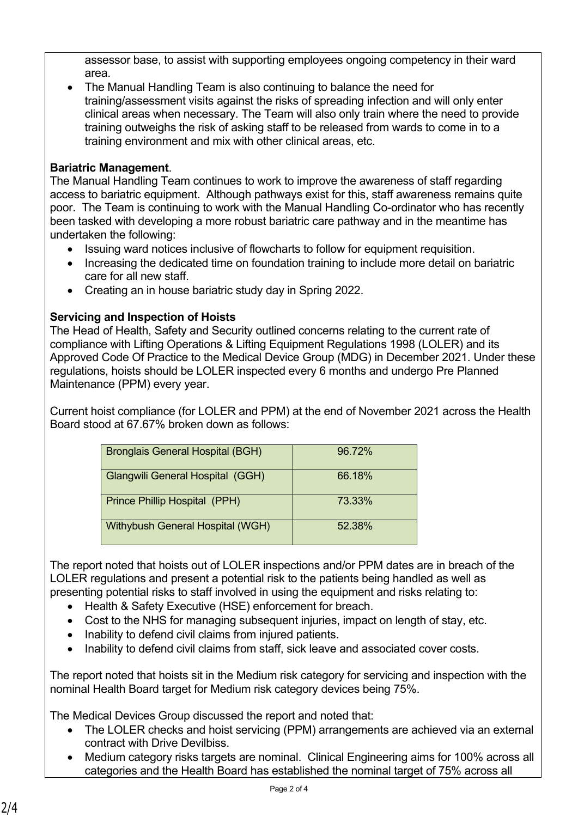assessor base, to assist with supporting employees ongoing competency in their ward area.

 The Manual Handling Team is also continuing to balance the need for training/assessment visits against the risks of spreading infection and will only enter clinical areas when necessary. The Team will also only train where the need to provide training outweighs the risk of asking staff to be released from wards to come in to a training environment and mix with other clinical areas, etc.

# **Bariatric Management**.

The Manual Handling Team continues to work to improve the awareness of staff regarding access to bariatric equipment. Although pathways exist for this, staff awareness remains quite poor. The Team is continuing to work with the Manual Handling Co-ordinator who has recently been tasked with developing a more robust bariatric care pathway and in the meantime has undertaken the following:

- Issuing ward notices inclusive of flowcharts to follow for equipment requisition.
- Increasing the dedicated time on foundation training to include more detail on bariatric care for all new staff.
- Creating an in house bariatric study day in Spring 2022.

# **Servicing and Inspection of Hoists**

The Head of Health, Safety and Security outlined concerns relating to the current rate of compliance with Lifting Operations & Lifting Equipment Regulations 1998 (LOLER) and its Approved Code Of Practice to the Medical Device Group (MDG) in December 2021. Under these regulations, hoists should be LOLER inspected every 6 months and undergo Pre Planned Maintenance (PPM) every year.

Current hoist compliance (for LOLER and PPM) at the end of November 2021 across the Health Board stood at 67.67% broken down as follows:

| <b>Bronglais General Hospital (BGH)</b> | 96.72% |
|-----------------------------------------|--------|
| Glangwili General Hospital (GGH)        | 66.18% |
| Prince Phillip Hospital (PPH)           | 73.33% |
| Withybush General Hospital (WGH)        | 52 38% |

The report noted that hoists out of LOLER inspections and/or PPM dates are in breach of the LOLER regulations and present a potential risk to the patients being handled as well as presenting potential risks to staff involved in using the equipment and risks relating to:

- Health & Safety Executive (HSE) enforcement for breach.
- Cost to the NHS for managing subsequent injuries, impact on length of stay, etc.
- Inability to defend civil claims from injured patients.
- Inability to defend civil claims from staff, sick leave and associated cover costs.

The report noted that hoists sit in the Medium risk category for servicing and inspection with the nominal Health Board target for Medium risk category devices being 75%.

The Medical Devices Group discussed the report and noted that:

- The LOLER checks and hoist servicing (PPM) arrangements are achieved via an external contract with Drive Devilbiss.
- Medium category risks targets are nominal. Clinical Engineering aims for 100% across all categories and the Health Board has established the nominal target of 75% across all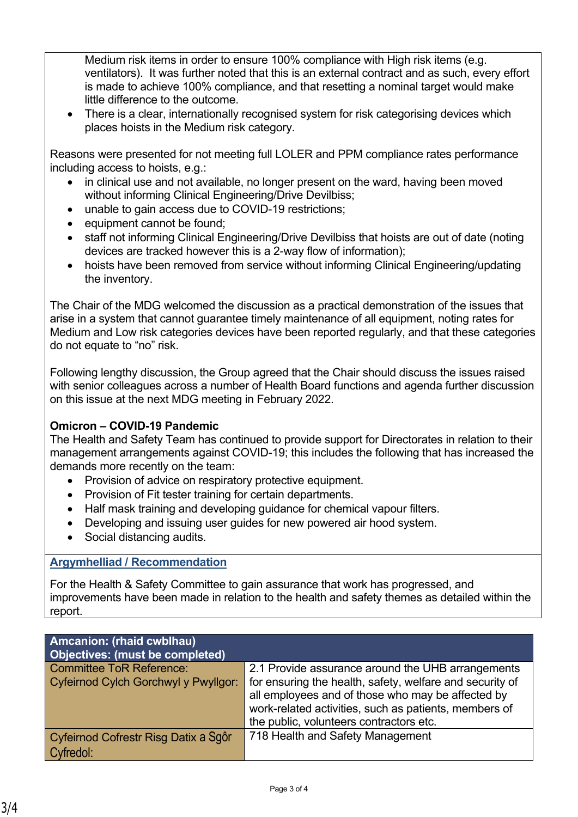Medium risk items in order to ensure 100% compliance with High risk items (e.g. ventilators). It was further noted that this is an external contract and as such, every effort is made to achieve 100% compliance, and that resetting a nominal target would make little difference to the outcome.

 There is a clear, internationally recognised system for risk categorising devices which places hoists in the Medium risk category.

Reasons were presented for not meeting full LOLER and PPM compliance rates performance including access to hoists, e.g.:

- in clinical use and not available, no longer present on the ward, having been moved without informing Clinical Engineering/Drive Devilbiss;
- unable to gain access due to COVID-19 restrictions;
- equipment cannot be found;
- staff not informing Clinical Engineering/Drive Devilbiss that hoists are out of date (noting devices are tracked however this is a 2-way flow of information);
- hoists have been removed from service without informing Clinical Engineering/updating the inventory.

The Chair of the MDG welcomed the discussion as a practical demonstration of the issues that arise in a system that cannot guarantee timely maintenance of all equipment, noting rates for Medium and Low risk categories devices have been reported regularly, and that these categories do not equate to "no" risk.

Following lengthy discussion, the Group agreed that the Chair should discuss the issues raised with senior colleagues across a number of Health Board functions and agenda further discussion on this issue at the next MDG meeting in February 2022.

### **Omicron – COVID-19 Pandemic**

The Health and Safety Team has continued to provide support for Directorates in relation to their management arrangements against COVID-19; this includes the following that has increased the demands more recently on the team:

- Provision of advice on respiratory protective equipment.
- Provision of Fit tester training for certain departments.
- Half mask training and developing guidance for chemical vapour filters.
- Developing and issuing user guides for new powered air hood system.
- Social distancing audits.

### **Argymhelliad / Recommendation**

For the Health & Safety Committee to gain assurance that work has progressed, and improvements have been made in relation to the health and safety themes as detailed within the report.

| Amcanion: (rhaid cwblhau)<br><b>Objectives: (must be completed)</b> |                                                          |
|---------------------------------------------------------------------|----------------------------------------------------------|
| <b>Committee ToR Reference:</b>                                     | 2.1 Provide assurance around the UHB arrangements        |
| Cyfeirnod Cylch Gorchwyl y Pwyllgor:                                | for ensuring the health, safety, welfare and security of |
|                                                                     | all employees and of those who may be affected by        |
|                                                                     | work-related activities, such as patients, members of    |
|                                                                     | the public, volunteers contractors etc.                  |
| Cyfeirnod Cofrestr Risg Datix a Sgôr                                | 718 Health and Safety Management                         |
| Cyfredol:                                                           |                                                          |